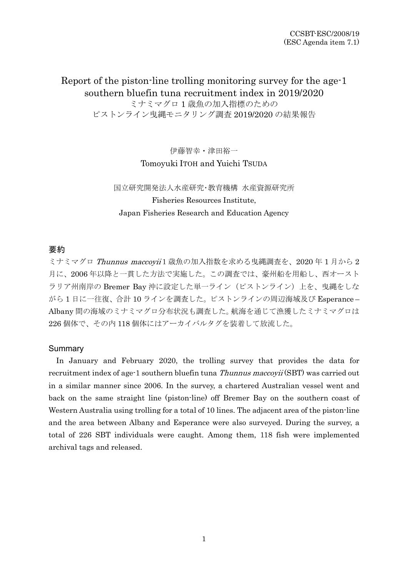Report of the piston-line trolling monitoring survey for the age-1 southern bluefin tuna recruitment index in 2019/2020 ミナミマグロ 1 歳魚の加入指標のための ピストンライン曳縄モニタリング調査 2019/2020 の結果報告

> 伊藤智幸・津田裕一 Tomoyuki ITOH and Yuichi TSUDA

国立研究開発法人水産研究・教育機構 水産資源研究所 Fisheries Resources Institute, Japan Fisheries Research and Education Agency

# 要約

ミナミマグロ Thunnus maccoyii1歳魚の加入指数を求める曳縄調査を、2020年1月から2 月に、2006 年以降と一貫した方法で実施した。この調査では、豪州船を用船し、西オースト ラリア州南岸の Bremer Bay 沖に設定した単一ライン (ピストンライン)上を、曳縄をしな がら 1 日に一往復、合計 10 ラインを調査した。ピストンラインの周辺海域及び Esperance – Albany 間の海域のミナミマグロ分布状況も調査した。航海を通じて漁獲したミナミマグロは 226 個体で、その内 118 個体にはアーカイバルタグを装着して放流した。

## **Summary**

In January and February 2020, the trolling survey that provides the data for recruitment index of age-1 southern bluefin tuna *Thunnus maccovii* (SBT) was carried out in a similar manner since 2006. In the survey, a chartered Australian vessel went and back on the same straight line (piston-line) off Bremer Bay on the southern coast of Western Australia using trolling for a total of 10 lines. The adjacent area of the piston-line and the area between Albany and Esperance were also surveyed. During the survey, a total of 226 SBT individuals were caught. Among them, 118 fish were implemented archival tags and released.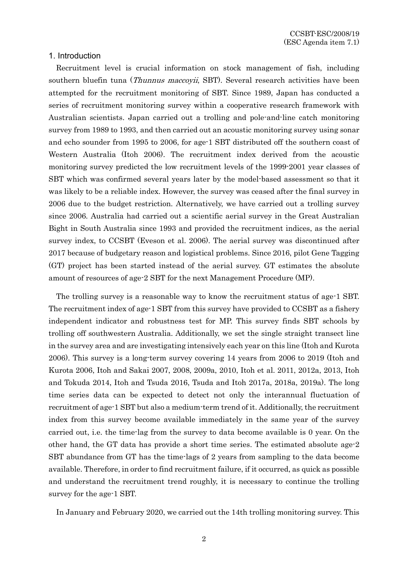## 1. Introduction

Recruitment level is crucial information on stock management of fish, including southern bluefin tuna (*Thunnus maccoyii*, SBT). Several research activities have been attempted for the recruitment monitoring of SBT. Since 1989, Japan has conducted a series of recruitment monitoring survey within a cooperative research framework with Australian scientists. Japan carried out a trolling and pole-and-line catch monitoring survey from 1989 to 1993, and then carried out an acoustic monitoring survey using sonar and echo sounder from 1995 to 2006, for age-1 SBT distributed off the southern coast of Western Australia (Itoh 2006). The recruitment index derived from the acoustic monitoring survey predicted the low recruitment levels of the 1999-2001 year classes of SBT which was confirmed several years later by the model-based assessment so that it was likely to be a reliable index. However, the survey was ceased after the final survey in 2006 due to the budget restriction. Alternatively, we have carried out a trolling survey since 2006. Australia had carried out a scientific aerial survey in the Great Australian Bight in South Australia since 1993 and provided the recruitment indices, as the aerial survey index, to CCSBT (Eveson et al. 2006). The aerial survey was discontinued after 2017 because of budgetary reason and logistical problems. Since 2016, pilot Gene Tagging (GT) project has been started instead of the aerial survey. GT estimates the absolute amount of resources of age-2 SBT for the next Management Procedure (MP).

The trolling survey is a reasonable way to know the recruitment status of age-1 SBT. The recruitment index of age-1 SBT from this survey have provided to CCSBT as a fishery independent indicator and robustness test for MP. This survey finds SBT schools by trolling off southwestern Australia. Additionally, we set the single straight transect line in the survey area and are investigating intensively each year on this line (Itoh and Kurota 2006). This survey is a long-term survey covering 14 years from 2006 to 2019 (Itoh and Kurota 2006, Itoh and Sakai 2007, 2008, 2009a, 2010, Itoh et al. 2011, 2012a, 2013, Itoh and Tokuda 2014, Itoh and Tsuda 2016, Tsuda and Itoh 2017a, 2018a, 2019a). The long time series data can be expected to detect not only the interannual fluctuation of recruitment of age-1 SBT but also a medium-term trend of it. Additionally, the recruitment index from this survey become available immediately in the same year of the survey carried out, i.e. the time-lag from the survey to data become available is 0 year. On the other hand, the GT data has provide a short time series. The estimated absolute age-2 SBT abundance from GT has the time-lags of 2 years from sampling to the data become available. Therefore, in order to find recruitment failure, if it occurred, as quick as possible and understand the recruitment trend roughly, it is necessary to continue the trolling survey for the age-1 SBT.

In January and February 2020, we carried out the 14th trolling monitoring survey. This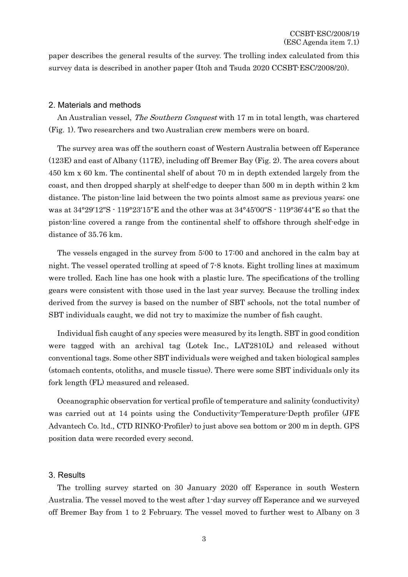paper describes the general results of the survey. The trolling index calculated from this survey data is described in another paper (Itoh and Tsuda 2020 CCSBT-ESC/2008/20).

# 2. Materials and methods

An Australian vessel, *The Southern Conquest* with 17 m in total length, was chartered (Fig. 1). Two researchers and two Australian crew members were on board.

The survey area was off the southern coast of Western Australia between off Esperance (123E) and east of Albany (117E), including off Bremer Bay (Fig. 2). The area covers about 450 km x 60 km. The continental shelf of about 70 m in depth extended largely from the coast, and then dropped sharply at shelf-edge to deeper than 500 m in depth within 2 km distance. The piston-line laid between the two points almost same as previous years; one was at 34°29′12″S - 119°23′15″E and the other was at 34°45′00″S - 119°36′44″E so that the piston-line covered a range from the continental shelf to offshore through shelf-edge in distance of 35.76 km.

The vessels engaged in the survey from 5:00 to 17:00 and anchored in the calm bay at night. The vessel operated trolling at speed of 7-8 knots. Eight trolling lines at maximum were trolled. Each line has one hook with a plastic lure. The specifications of the trolling gears were consistent with those used in the last year survey. Because the trolling index derived from the survey is based on the number of SBT schools, not the total number of SBT individuals caught, we did not try to maximize the number of fish caught.

Individual fish caught of any species were measured by its length. SBT in good condition were tagged with an archival tag (Lotek Inc., LAT2810L) and released without conventional tags. Some other SBT individuals were weighed and taken biological samples (stomach contents, otoliths, and muscle tissue). There were some SBT individuals only its fork length (FL) measured and released.

Oceanographic observation for vertical profile of temperature and salinity (conductivity) was carried out at 14 points using the Conductivity-Temperature-Depth profiler (JFE Advantech Co. ltd., CTD RINKO-Profiler) to just above sea bottom or 200 m in depth. GPS position data were recorded every second.

## 3. Results

The trolling survey started on 30 January 2020 off Esperance in south Western Australia. The vessel moved to the west after 1-day survey off Esperance and we surveyed off Bremer Bay from 1 to 2 February. The vessel moved to further west to Albany on 3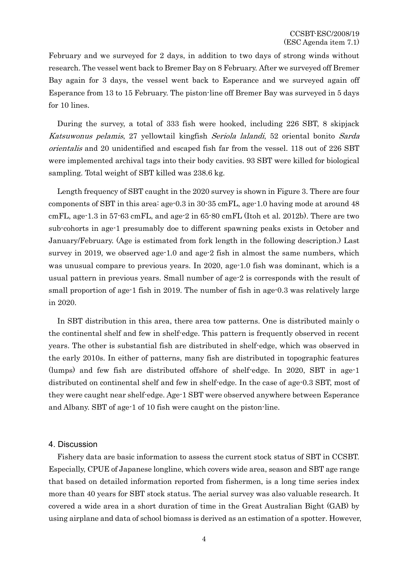February and we surveyed for 2 days, in addition to two days of strong winds without research. The vessel went back to Bremer Bay on 8 February. After we surveyed off Bremer Bay again for 3 days, the vessel went back to Esperance and we surveyed again off Esperance from 13 to 15 February. The piston-line off Bremer Bay was surveyed in 5 days for 10 lines.

During the survey, a total of 333 fish were hooked, including 226 SBT, 8 skipjack Katsuwonus pelamis, 27 yellowtail kingfish Seriola lalandi, 52 oriental bonito Sarda orientalis and 20 unidentified and escaped fish far from the vessel. 118 out of 226 SBT were implemented archival tags into their body cavities. 93 SBT were killed for biological sampling. Total weight of SBT killed was 238.6 kg.

Length frequency of SBT caught in the 2020 survey is shown in Figure 3. There are four components of SBT in this area: age-0.3 in 30-35 cmFL, age-1.0 having mode at around 48 cmFL, age-1.3 in 57-63 cmFL, and age-2 in 65-80 cmFL (Itoh et al. 2012b). There are two sub-cohorts in age-1 presumably doe to different spawning peaks exists in October and January/February. (Age is estimated from fork length in the following description.) Last survey in 2019, we observed age-1.0 and age-2 fish in almost the same numbers, which was unusual compare to previous years. In 2020, age-1.0 fish was dominant, which is a usual pattern in previous years. Small number of age-2 is corresponds with the result of small proportion of age-1 fish in 2019. The number of fish in age-0.3 was relatively large in 2020.

In SBT distribution in this area, there area tow patterns. One is distributed mainly o the continental shelf and few in shelf-edge. This pattern is frequently observed in recent years. The other is substantial fish are distributed in shelf-edge, which was observed in the early 2010s. In either of patterns, many fish are distributed in topographic features (lumps) and few fish are distributed offshore of shelf-edge. In 2020, SBT in age-1 distributed on continental shelf and few in shelf-edge. In the case of age-0.3 SBT, most of they were caught near shelf-edge. Age-1 SBT were observed anywhere between Esperance and Albany. SBT of age-1 of 10 fish were caught on the piston-line.

## 4. Discussion

Fishery data are basic information to assess the current stock status of SBT in CCSBT. Especially, CPUE of Japanese longline, which covers wide area, season and SBT age range that based on detailed information reported from fishermen, is a long time series index more than 40 years for SBT stock status. The aerial survey was also valuable research. It covered a wide area in a short duration of time in the Great Australian Bight (GAB) by using airplane and data of school biomass is derived as an estimation of a spotter. However,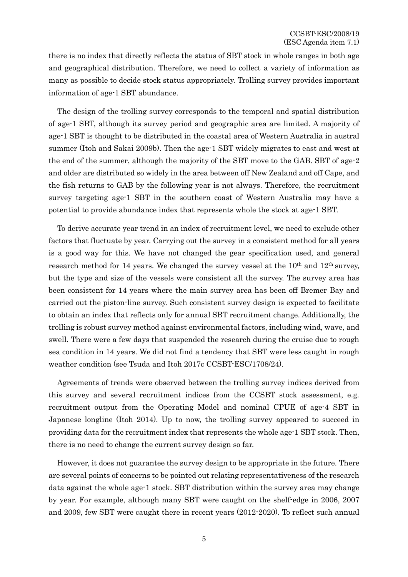there is no index that directly reflects the status of SBT stock in whole ranges in both age and geographical distribution. Therefore, we need to collect a variety of information as many as possible to decide stock status appropriately. Trolling survey provides important information of age-1 SBT abundance.

The design of the trolling survey corresponds to the temporal and spatial distribution of age-1 SBT, although its survey period and geographic area are limited. A majority of age-1 SBT is thought to be distributed in the coastal area of Western Australia in austral summer (Itoh and Sakai 2009b). Then the age-1 SBT widely migrates to east and west at the end of the summer, although the majority of the SBT move to the GAB. SBT of age-2 and older are distributed so widely in the area between off New Zealand and off Cape, and the fish returns to GAB by the following year is not always. Therefore, the recruitment survey targeting age-1 SBT in the southern coast of Western Australia may have a potential to provide abundance index that represents whole the stock at age-1 SBT.

To derive accurate year trend in an index of recruitment level, we need to exclude other factors that fluctuate by year. Carrying out the survey in a consistent method for all years is a good way for this. We have not changed the gear specification used, and general research method for 14 years. We changed the survey vessel at the  $10<sup>th</sup>$  and  $12<sup>th</sup>$  survey, but the type and size of the vessels were consistent all the survey. The survey area has been consistent for 14 years where the main survey area has been off Bremer Bay and carried out the piston-line survey. Such consistent survey design is expected to facilitate to obtain an index that reflects only for annual SBT recruitment change. Additionally, the trolling is robust survey method against environmental factors, including wind, wave, and swell. There were a few days that suspended the research during the cruise due to rough sea condition in 14 years. We did not find a tendency that SBT were less caught in rough weather condition (see Tsuda and Itoh 2017c CCSBT-ESC/1708/24).

Agreements of trends were observed between the trolling survey indices derived from this survey and several recruitment indices from the CCSBT stock assessment, e.g. recruitment output from the Operating Model and nominal CPUE of age-4 SBT in Japanese longline (Itoh 2014). Up to now, the trolling survey appeared to succeed in providing data for the recruitment index that represents the whole age-1 SBT stock. Then, there is no need to change the current survey design so far.

However, it does not guarantee the survey design to be appropriate in the future. There are several points of concerns to be pointed out relating representativeness of the research data against the whole age-1 stock. SBT distribution within the survey area may change by year. For example, although many SBT were caught on the shelf-edge in 2006, 2007 and 2009, few SBT were caught there in recent years (2012-2020). To reflect such annual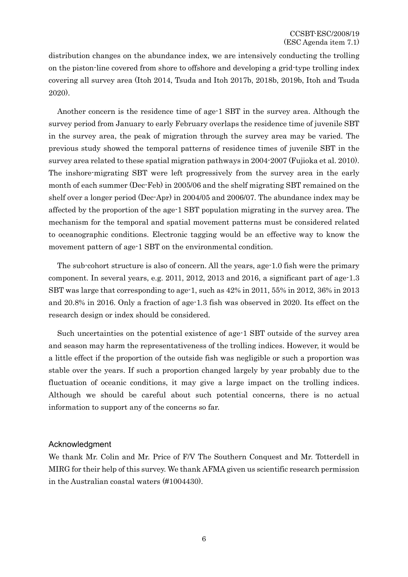distribution changes on the abundance index, we are intensively conducting the trolling on the piston-line covered from shore to offshore and developing a grid-type trolling index covering all survey area (Itoh 2014, Tsuda and Itoh 2017b, 2018b, 2019b, Itoh and Tsuda 2020).

Another concern is the residence time of age-1 SBT in the survey area. Although the survey period from January to early February overlaps the residence time of juvenile SBT in the survey area, the peak of migration through the survey area may be varied. The previous study showed the temporal patterns of residence times of juvenile SBT in the survey area related to these spatial migration pathways in 2004-2007 (Fujioka et al. 2010). The inshore-migrating SBT were left progressively from the survey area in the early month of each summer (Dec-Feb) in 2005/06 and the shelf migrating SBT remained on the shelf over a longer period (Dec-Apr) in 2004/05 and 2006/07. The abundance index may be affected by the proportion of the age-1 SBT population migrating in the survey area. The mechanism for the temporal and spatial movement patterns must be considered related to oceanographic conditions. Electronic tagging would be an effective way to know the movement pattern of age-1 SBT on the environmental condition.

The sub-cohort structure is also of concern. All the years, age-1.0 fish were the primary component. In several years, e.g. 2011, 2012, 2013 and 2016, a significant part of age-1.3 SBT was large that corresponding to age-1, such as 42% in 2011, 55% in 2012, 36% in 2013 and 20.8% in 2016. Only a fraction of age-1.3 fish was observed in 2020. Its effect on the research design or index should be considered.

Such uncertainties on the potential existence of age-1 SBT outside of the survey area and season may harm the representativeness of the trolling indices. However, it would be a little effect if the proportion of the outside fish was negligible or such a proportion was stable over the years. If such a proportion changed largely by year probably due to the fluctuation of oceanic conditions, it may give a large impact on the trolling indices. Although we should be careful about such potential concerns, there is no actual information to support any of the concerns so far.

## Acknowledgment

We thank Mr. Colin and Mr. Price of F/V The Southern Conquest and Mr. Totterdell in MIRG for their help of this survey. We thank AFMA given us scientific research permission in the Australian coastal waters (#1004430).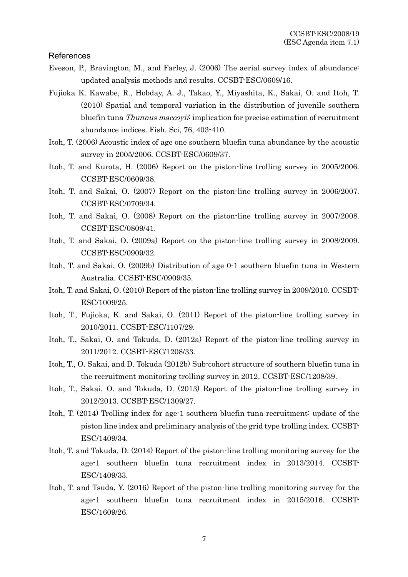## References

- Eveson, P., Bravington, M., and Farley, J. (2006) The aerial survey index of abundance: updated analysis methods and results. CCSBT-ESC/0609/16.
- Fujioka K. Kawabe, R., Hobday, A. J., Takao, Y., Miyashita, K., Sakai, O. and Itoh, T. (2010) Spatial and temporal variation in the distribution of juvenile southern bluefin tuna *Thunnus maccoyii*: implication for precise estimation of recruitment abundance indices. Fish. Sci, 76, 403-410.
- Itoh, T. (2006) Acoustic index of age one southern bluefin tuna abundance by the acoustic survey in 2005/2006. CCSBT-ESC/0609/37.
- Itoh, T. and Kurota, H. (2006) Report on the piston-line trolling survey in 2005/2006. CCSBT-ESC/0609/38.
- Itoh, T. and Sakai, O. (2007) Report on the piston-line trolling survey in 2006/2007. CCSBT-ESC/0709/34.
- Itoh, T. and Sakai, O. (2008) Report on the piston-line trolling survey in 2007/2008. CCSBT-ESC/0809/41.
- Itoh, T. and Sakai, O. (2009a) Report on the piston-line trolling survey in 2008/2009. CCSBT-ESC/0909/32.
- Itoh, T. and Sakai, O. (2009b) Distribution of age 0-1 southern bluefin tuna in Western Australia. CCSBT-ESC/0909/35.
- Itoh, T. and Sakai, O. (2010) Report of the piston-line trolling survey in 2009/2010. CCSBT-ESC/1009/25.
- Itoh, T., Fujioka, K. and Sakai, O. (2011) Report of the piston-line trolling survey in 2010/2011. CCSBT-ESC/1107/29.
- Itoh, T., Sakai, O. and Tokuda, D. (2012a) Report of the piston-line trolling survey in 2011/2012. CCSBT-ESC/1208/33.
- Itoh, T., O. Sakai, and D. Tokuda (2012b) Sub-cohort structure of southern bluefin tuna in the recruitment monitoring trolling survey in 2012. CCSBT-ESC/1208/39.
- Itoh, T., Sakai, O. and Tokuda, D. (2013) Report of the piston-line trolling survey in 2012/2013. CCSBT-ESC/1309/27.
- Itoh, T. (2014) Trolling index for age-1 southern bluefin tuna recruitment: update of the piston line index and preliminary analysis of the grid type trolling index. CCSBT-ESC/1409/34.
- Itoh, T. and Tokuda, D. (2014) Report of the piston-line trolling monitoring survey for the age-1 southern bluefin tuna recruitment index in 2013/2014. CCSBT-ESC/1409/33.
- Itoh, T. and Tsuda, Y. (2016) Report of the piston-line trolling monitoring survey for the age-1 southern bluefin tuna recruitment index in 2015/2016. CCSBT-ESC/1609/26.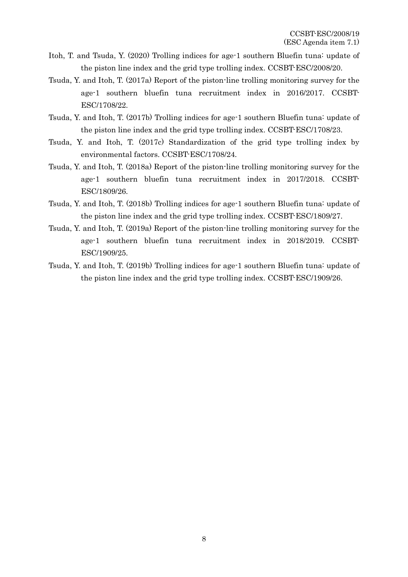- Itoh, T. and Tsuda, Y. (2020) Trolling indices for age-1 southern Bluefin tuna: update of the piston line index and the grid type trolling index. CCSBT-ESC/2008/20.
- Tsuda, Y. and Itoh, T. (2017a) Report of the piston-line trolling monitoring survey for the age-1 southern bluefin tuna recruitment index in 2016/2017. CCSBT-ESC/1708/22.
- Tsuda, Y. and Itoh, T. (2017b) Trolling indices for age-1 southern Bluefin tuna: update of the piston line index and the grid type trolling index. CCSBT-ESC/1708/23.
- Tsuda, Y. and Itoh, T. (2017c) Standardization of the grid type trolling index by environmental factors. CCSBT-ESC/1708/24.
- Tsuda, Y. and Itoh, T. (2018a) Report of the piston-line trolling monitoring survey for the age-1 southern bluefin tuna recruitment index in 2017/2018. CCSBT-ESC/1809/26.
- Tsuda, Y. and Itoh, T. (2018b) Trolling indices for age-1 southern Bluefin tuna: update of the piston line index and the grid type trolling index. CCSBT-ESC/1809/27.
- Tsuda, Y. and Itoh, T. (2019a) Report of the piston-line trolling monitoring survey for the age-1 southern bluefin tuna recruitment index in 2018/2019. CCSBT-ESC/1909/25.
- Tsuda, Y. and Itoh, T. (2019b) Trolling indices for age-1 southern Bluefin tuna: update of the piston line index and the grid type trolling index. CCSBT-ESC/1909/26.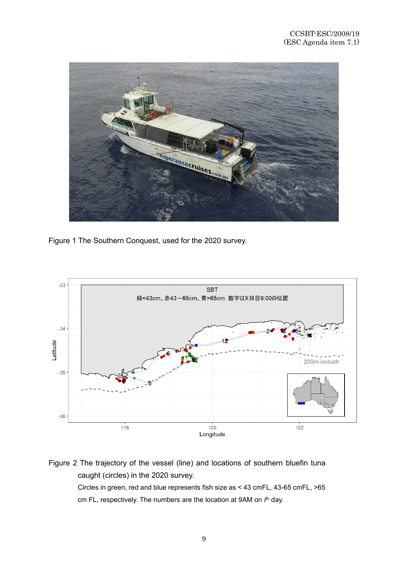

Figure 1 The Southern Conquest, used for the 2020 survey.



Figure 2 The trajectory of the vessel (line) and locations of southern bluefin tuna caught (circles) in the 2020 survey. Circles in green, red and blue represents fish size as < 43 cmFL, 43-65 cmFL, >65 cm FL, respectively. The numbers are the location at 9AM on *i*<sup>th</sup> day.